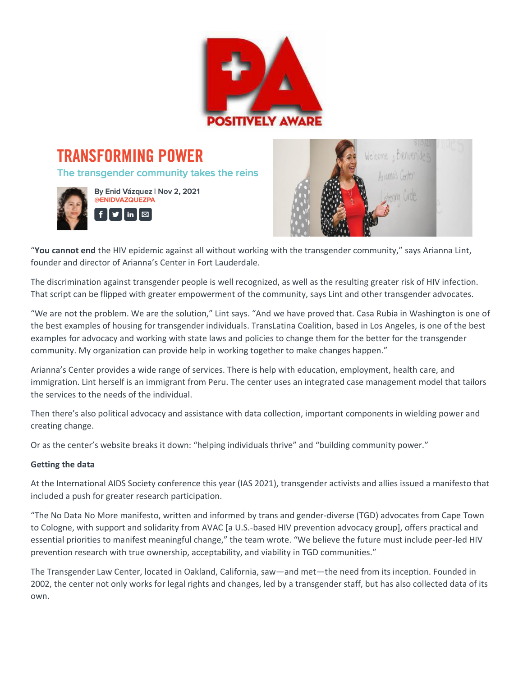

**TRANSFORMING POWER** The transgender community takes the reins





"**You cannot end** the HIV epidemic against all without working with the transgender community," says Arianna Lint, founder and director of Arianna's Center in Fort Lauderdale.

The discrimination against transgender people is well recognized, as well as the resulting greater risk of HIV infection. That script can be flipped with greater empowerment of the community, says Lint and other transgender advocates.

"We are not the problem. We are the solution," Lint says. "And we have proved that. Casa Rubia in Washington is one of the best examples of housing for transgender individuals. TransLatina Coalition, based in Los Angeles, is one of the best examples for advocacy and working with state laws and policies to change them for the better for the transgender community. My organization can provide help in working together to make changes happen."

Arianna's Center provides a wide range of services. There is help with education, employment, health care, and immigration. Lint herself is an immigrant from Peru. The center uses an integrated case management model that tailors the services to the needs of the individual.

Then there's also political advocacy and assistance with data collection, important components in wielding power and creating change.

Or as the center's website breaks it down: "helping individuals thrive" and "building community power."

# **Getting the data**

At the International AIDS Society conference this year (IAS 2021), transgender activists and allies issued a manifesto that included a push for greater research participation.

"The No Data No More manifesto, written and informed by trans and gender-diverse (TGD) advocates from Cape Town to Cologne, with support and solidarity from AVAC [a U.S.-based HIV prevention advocacy group], offers practical and essential priorities to manifest meaningful change," the team wrote. "We believe the future must include peer-led HIV prevention research with true ownership, acceptability, and viability in TGD communities."

The Transgender Law Center, located in Oakland, California, saw—and met—the need from its inception. Founded in 2002, the center not only works for legal rights and changes, led by a transgender staff, but has also collected data of its own.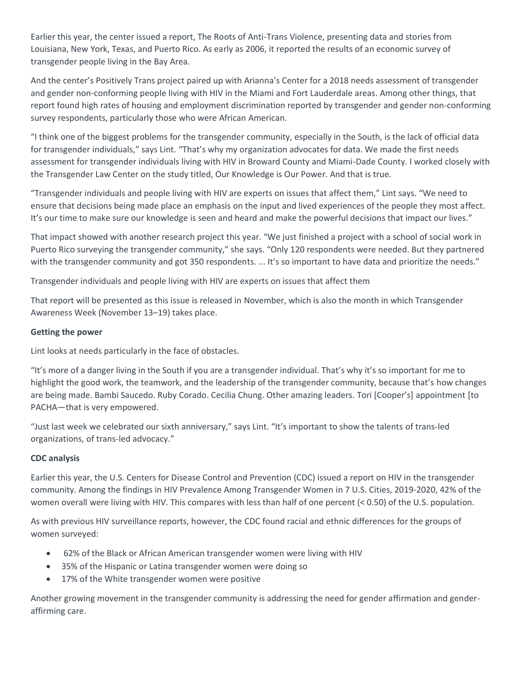Earlier this year, the center issued a report, The Roots of Anti-Trans Violence, presenting data and stories from Louisiana, New York, Texas, and Puerto Rico. As early as 2006, it reported the results of an economic survey of transgender people living in the Bay Area.

And the center's Positively Trans project paired up with Arianna's Center for a 2018 needs assessment of transgender and gender non-conforming people living with HIV in the Miami and Fort Lauderdale areas. Among other things, that report found high rates of housing and employment discrimination reported by transgender and gender non-conforming survey respondents, particularly those who were African American.

"I think one of the biggest problems for the transgender community, especially in the South, is the lack of official data for transgender individuals," says Lint. "That's why my organization advocates for data. We made the first needs assessment for transgender individuals living with HIV in Broward County and Miami-Dade County. I worked closely with the Transgender Law Center on the study titled, Our Knowledge is Our Power. And that is true.

"Transgender individuals and people living with HIV are experts on issues that affect them," Lint says. "We need to ensure that decisions being made place an emphasis on the input and lived experiences of the people they most affect. It's our time to make sure our knowledge is seen and heard and make the powerful decisions that impact our lives."

That impact showed with another research project this year. "We just finished a project with a school of social work in Puerto Rico surveying the transgender community," she says. "Only 120 respondents were needed. But they partnered with the transgender community and got 350 respondents. ... It's so important to have data and prioritize the needs."

Transgender individuals and people living with HIV are experts on issues that affect them

That report will be presented as this issue is released in November, which is also the month in which Transgender Awareness Week (November 13–19) takes place.

## **Getting the power**

Lint looks at needs particularly in the face of obstacles.

"It's more of a danger living in the South if you are a transgender individual. That's why it's so important for me to highlight the good work, the teamwork, and the leadership of the transgender community, because that's how changes are being made. Bambi Saucedo. Ruby Corado. Cecilia Chung. Other amazing leaders. Tori [Cooper's] appointment [to PACHA—that is very empowered.

"Just last week we celebrated our sixth anniversary," says Lint. "It's important to show the talents of trans-led organizations, of trans-led advocacy."

## **CDC analysis**

Earlier this year, the U.S. Centers for Disease Control and Prevention (CDC) issued a report on HIV in the transgender community. Among the findings in HIV Prevalence Among Transgender Women in 7 U.S. Cities, 2019-2020, 42% of the women overall were living with HIV. This compares with less than half of one percent (< 0.50) of the U.S. population.

As with previous HIV surveillance reports, however, the CDC found racial and ethnic differences for the groups of women surveyed:

- 62% of the Black or African American transgender women were living with HIV
- 35% of the Hispanic or Latina transgender women were doing so
- 17% of the White transgender women were positive

Another growing movement in the transgender community is addressing the need for gender affirmation and genderaffirming care.